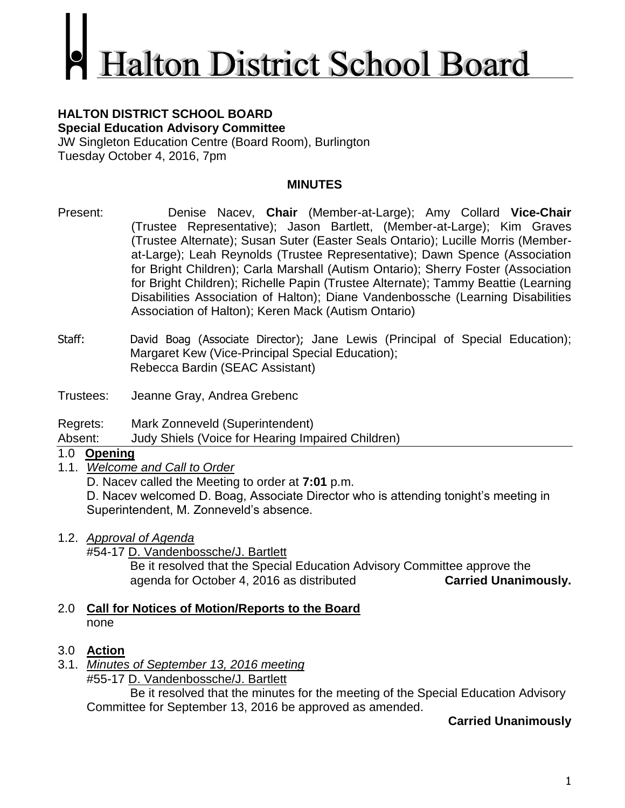# **Ialton District School Board**

#### **HALTON DISTRICT SCHOOL BOARD Special Education Advisory Committee**

JW Singleton Education Centre (Board Room), Burlington Tuesday October 4, 2016, 7pm

## **MINUTES**

- Present: Denise Nacev, **Chair** (Member-at-Large); Amy Collard **Vice-Chair** (Trustee Representative); Jason Bartlett, (Member-at-Large); Kim Graves (Trustee Alternate); Susan Suter (Easter Seals Ontario); Lucille Morris (Memberat-Large); Leah Reynolds (Trustee Representative); Dawn Spence (Association for Bright Children); Carla Marshall (Autism Ontario); Sherry Foster (Association for Bright Children); Richelle Papin (Trustee Alternate); Tammy Beattie (Learning Disabilities Association of Halton); Diane Vandenbossche (Learning Disabilities Association of Halton); Keren Mack (Autism Ontario)
- Staff: David Boag (Associate Director); Jane Lewis (Principal of Special Education); Margaret Kew (Vice-Principal Special Education); Rebecca Bardin (SEAC Assistant)
- Trustees: Jeanne Gray, Andrea Grebenc
- Regrets: Mark Zonneveld (Superintendent)

Absent: Judy Shiels (Voice for Hearing Impaired Children)

# 1.0 **Opening**

1.1. *Welcome and Call to Order*

D. Nacev called the Meeting to order at **7:01** p.m.

D. Nacev welcomed D. Boag, Associate Director who is attending tonight's meeting in Superintendent, M. Zonneveld's absence.

- 1.2. *Approval of Agenda*
	- #54-17 D. Vandenbossche/J. Bartlett

Be it resolved that the Special Education Advisory Committee approve the agenda for October 4, 2016 as distributed **Carried Unanimously.**

- 2.0 **Call for Notices of Motion/Reports to the Board** none
- 3.0 **Action**
- 3.1. *Minutes of September 13, 2016 meeting* #55-17 D. Vandenbossche/J. Bartlett

Be it resolved that the minutes for the meeting of the Special Education Advisory Committee for September 13, 2016 be approved as amended.

# **Carried Unanimously**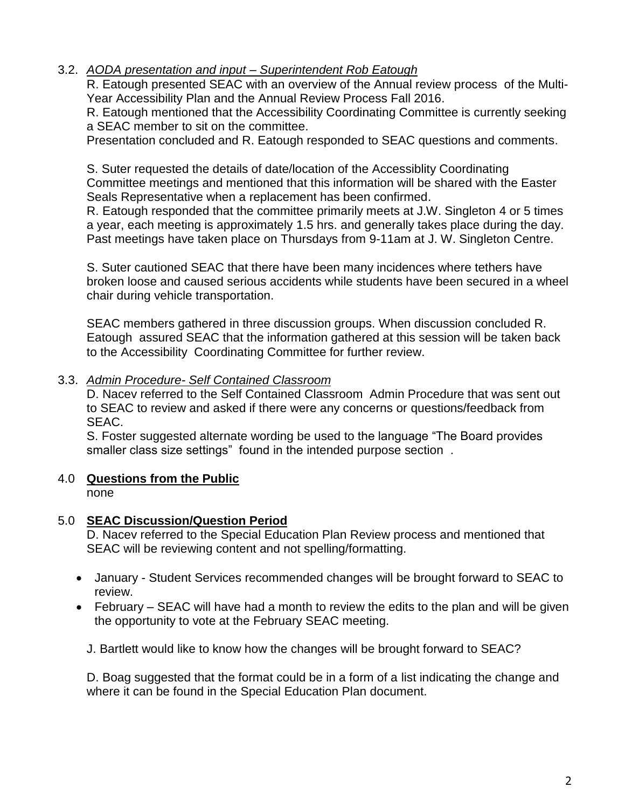## 3.2. *AODA presentation and input – Superintendent Rob Eatough*

R. Eatough presented SEAC with an overview of the Annual review process of the Multi-Year Accessibility Plan and the Annual Review Process Fall 2016.

R. Eatough mentioned that the Accessibility Coordinating Committee is currently seeking a SEAC member to sit on the committee.

Presentation concluded and R. Eatough responded to SEAC questions and comments.

S. Suter requested the details of date/location of the Accessiblity Coordinating Committee meetings and mentioned that this information will be shared with the Easter Seals Representative when a replacement has been confirmed.

R. Eatough responded that the committee primarily meets at J.W. Singleton 4 or 5 times a year, each meeting is approximately 1.5 hrs. and generally takes place during the day. Past meetings have taken place on Thursdays from 9-11am at J. W. Singleton Centre.

S. Suter cautioned SEAC that there have been many incidences where tethers have broken loose and caused serious accidents while students have been secured in a wheel chair during vehicle transportation.

SEAC members gathered in three discussion groups. When discussion concluded R. Eatough assured SEAC that the information gathered at this session will be taken back to the Accessibility Coordinating Committee for further review.

#### 3.3. *Admin Procedure- Self Contained Classroom*

D. Nacev referred to the Self Contained Classroom Admin Procedure that was sent out to SEAC to review and asked if there were any concerns or questions/feedback from SEAC.

S. Foster suggested alternate wording be used to the language "The Board provides smaller class size settings" found in the intended purpose section.

## 4.0 **Questions from the Public**

none

#### 5.0 **SEAC Discussion/Question Period**

D. Nacev referred to the Special Education Plan Review process and mentioned that SEAC will be reviewing content and not spelling/formatting.

- January Student Services recommended changes will be brought forward to SEAC to review.
- February SEAC will have had a month to review the edits to the plan and will be given the opportunity to vote at the February SEAC meeting.

J. Bartlett would like to know how the changes will be brought forward to SEAC?

D. Boag suggested that the format could be in a form of a list indicating the change and where it can be found in the Special Education Plan document.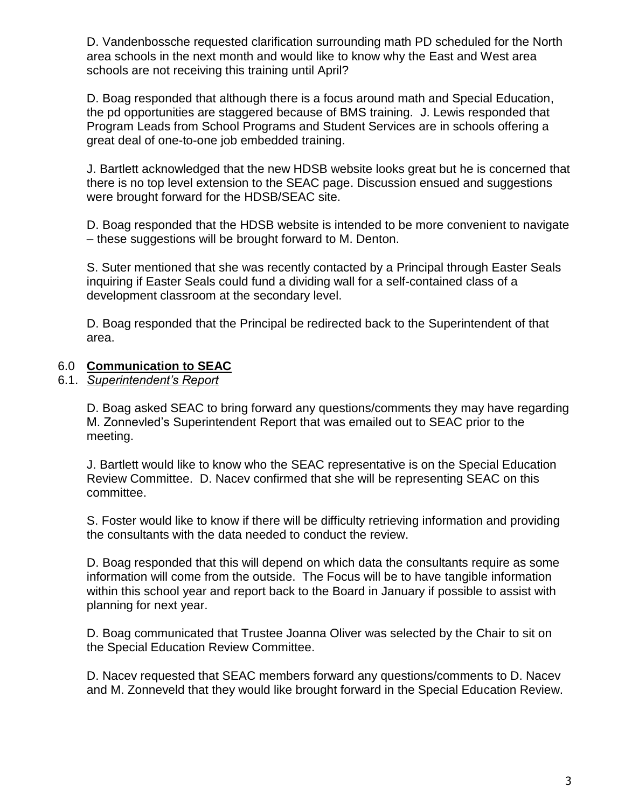D. Vandenbossche requested clarification surrounding math PD scheduled for the North area schools in the next month and would like to know why the East and West area schools are not receiving this training until April?

D. Boag responded that although there is a focus around math and Special Education, the pd opportunities are staggered because of BMS training. J. Lewis responded that Program Leads from School Programs and Student Services are in schools offering a great deal of one-to-one job embedded training.

J. Bartlett acknowledged that the new HDSB website looks great but he is concerned that there is no top level extension to the SEAC page. Discussion ensued and suggestions were brought forward for the HDSB/SEAC site.

D. Boag responded that the HDSB website is intended to be more convenient to navigate – these suggestions will be brought forward to M. Denton.

S. Suter mentioned that she was recently contacted by a Principal through Easter Seals inquiring if Easter Seals could fund a dividing wall for a self-contained class of a development classroom at the secondary level.

D. Boag responded that the Principal be redirected back to the Superintendent of that area.

## 6.0 **Communication to SEAC**

#### 6.1. *Superintendent's Report*

D. Boag asked SEAC to bring forward any questions/comments they may have regarding M. Zonnevled's Superintendent Report that was emailed out to SEAC prior to the meeting.

J. Bartlett would like to know who the SEAC representative is on the Special Education Review Committee. D. Nacev confirmed that she will be representing SEAC on this committee.

S. Foster would like to know if there will be difficulty retrieving information and providing the consultants with the data needed to conduct the review.

D. Boag responded that this will depend on which data the consultants require as some information will come from the outside. The Focus will be to have tangible information within this school year and report back to the Board in January if possible to assist with planning for next year.

D. Boag communicated that Trustee Joanna Oliver was selected by the Chair to sit on the Special Education Review Committee.

D. Nacev requested that SEAC members forward any questions/comments to D. Nacev and M. Zonneveld that they would like brought forward in the Special Education Review.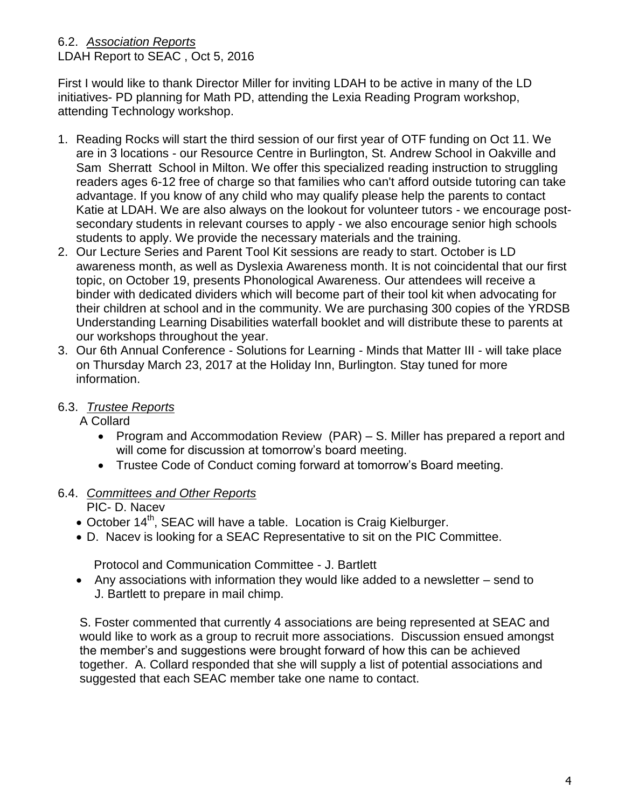# 6.2. *Association Reports*

LDAH Report to SEAC , Oct 5, 2016

First I would like to thank Director Miller for inviting LDAH to be active in many of the LD initiatives- PD planning for Math PD, attending the Lexia Reading Program workshop, attending Technology workshop.

- 1. Reading Rocks will start the third session of our first year of OTF funding on Oct 11. We are in 3 locations - our Resource Centre in Burlington, St. Andrew School in Oakville and Sam Sherratt School in Milton. We offer this specialized reading instruction to struggling readers ages 6-12 free of charge so that families who can't afford outside tutoring can take advantage. If you know of any child who may qualify please help the parents to contact Katie at LDAH. We are also always on the lookout for volunteer tutors - we encourage postsecondary students in relevant courses to apply - we also encourage senior high schools students to apply. We provide the necessary materials and the training.
- 2. Our Lecture Series and Parent Tool Kit sessions are ready to start. October is LD awareness month, as well as Dyslexia Awareness month. It is not coincidental that our first topic, on October 19, presents Phonological Awareness. Our attendees will receive a binder with dedicated dividers which will become part of their tool kit when advocating for their children at school and in the community. We are purchasing 300 copies of the YRDSB Understanding Learning Disabilities waterfall booklet and will distribute these to parents at our workshops throughout the year.
- 3. Our 6th Annual Conference Solutions for Learning Minds that Matter III will take place on Thursday March 23, 2017 at the Holiday Inn, Burlington. Stay tuned for more information.
- 6.3. *Trustee Reports*

A Collard

- Program and Accommodation Review (PAR) S. Miller has prepared a report and will come for discussion at tomorrow's board meeting.
- Trustee Code of Conduct coming forward at tomorrow's Board meeting.

# 6.4. *Committees and Other Reports*

PIC- D. Nacev

- October 14<sup>th</sup>, SEAC will have a table. Location is Craig Kielburger.
- D. Nacev is looking for a SEAC Representative to sit on the PIC Committee.

Protocol and Communication Committee - J. Bartlett

 Any associations with information they would like added to a newsletter – send to J. Bartlett to prepare in mail chimp.

S. Foster commented that currently 4 associations are being represented at SEAC and would like to work as a group to recruit more associations. Discussion ensued amongst the member's and suggestions were brought forward of how this can be achieved together. A. Collard responded that she will supply a list of potential associations and suggested that each SEAC member take one name to contact.